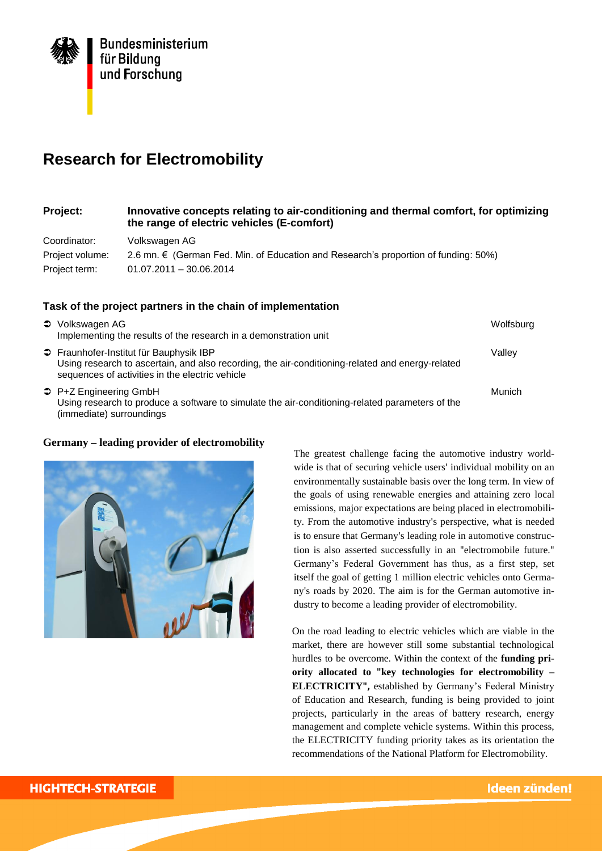

# **Research for Electromobility**

## **Project: Innovative concepts relating to air-conditioning and thermal comfort, for optimizing the range of electric vehicles (E-comfort)**

Coordinator: Volkswagen AG Project volume: 2.6 mn. € (German Fed. Min. of Education and Research's proportion of funding: 50%) Project term: 01.07.2011 – 30.06.2014

## **Task of the project partners in the chain of implementation**

| <b>●</b> Volkswagen AG<br>Implementing the results of the research in a demonstration unit                                                                                                     | Wolfsburg |
|------------------------------------------------------------------------------------------------------------------------------------------------------------------------------------------------|-----------|
| → Fraunhofer-Institut für Bauphysik IBP<br>Using research to ascertain, and also recording, the air-conditioning-related and energy-related<br>sequences of activities in the electric vehicle | Vallev    |
| → P+Z Engineering GmbH<br>Using research to produce a software to simulate the air-conditioning-related parameters of the<br>(immediate) surroundings                                          | Munich    |

#### **Germany – leading provider of electromobility**



The greatest challenge facing the automotive industry worldwide is that of securing vehicle users' individual mobility on an environmentally sustainable basis over the long term. In view of the goals of using renewable energies and attaining zero local emissions, major expectations are being placed in electromobility. From the automotive industry's perspective, what is needed is to ensure that Germany's leading role in automotive construction is also asserted successfully in an "electromobile future." Germany's Federal Government has thus, as a first step, set itself the goal of getting 1 million electric vehicles onto Germany's roads by 2020. The aim is for the German automotive industry to become a leading provider of electromobility.

On the road leading to electric vehicles which are viable in the market, there are however still some substantial technological hurdles to be overcome. Within the context of the **funding priority allocated to "key technologies for electromobility – ELECTRICITY",** established by Germany's Federal Ministry of Education and Research, funding is being provided to joint projects, particularly in the areas of battery research, energy management and complete vehicle systems. Within this process, the ELECTRICITY funding priority takes as its orientation the recommendations of the National Platform for Electromobility.